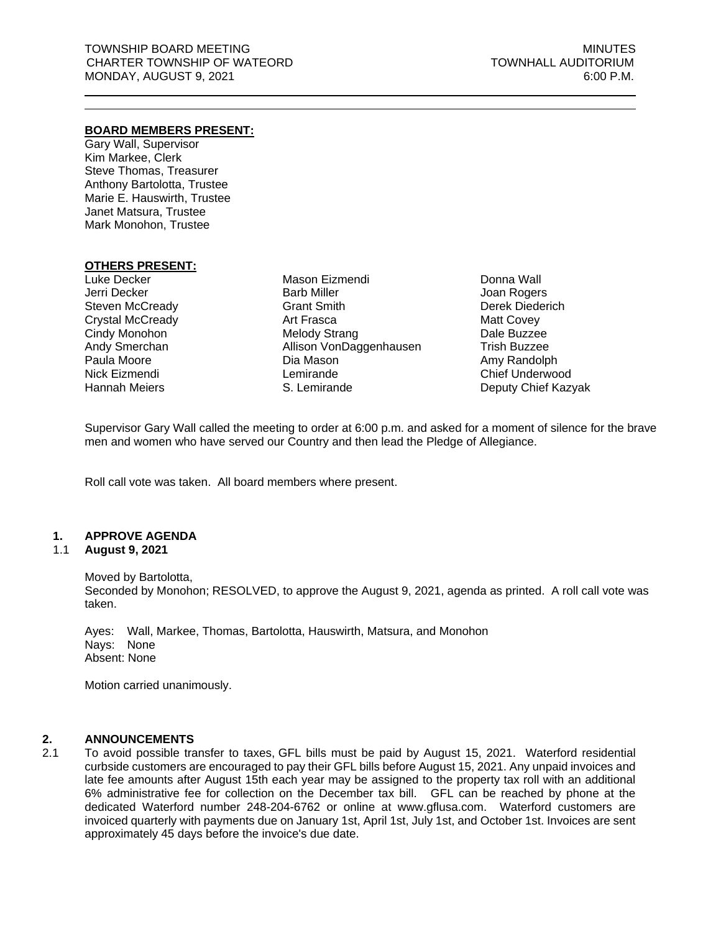### **BOARD MEMBERS PRESENT:**

Gary Wall, Supervisor Kim Markee, Clerk Steve Thomas, Treasurer Anthony Bartolotta, Trustee Marie E. Hauswirth, Trustee Janet Matsura, Trustee Mark Monohon, Trustee

### **OTHERS PRESENT:**

Luke Decker Jerri Decker Steven McCready Crystal McCready Cindy Monohon Andy Smerchan Paula Moore Nick Eizmendi Hannah Meiers

Mason Eizmendi Barb Miller Grant Smith Art Frasca Melody Strang Allison VonDaggenhausen Dia Mason Lemirande S. Lemirande

Donna Wall Joan Rogers Derek Diederich Matt Covey Dale Buzzee Trish Buzzee Amy Randolph Chief Underwood Deputy Chief Kazyak

Supervisor Gary Wall called the meeting to order at 6:00 p.m. and asked for a moment of silence for the brave men and women who have served our Country and then lead the Pledge of Allegiance.

Roll call vote was taken. All board members where present.

#### **1. APPROVE AGENDA**

#### 1.1 **August 9, 2021**

Moved by Bartolotta, Seconded by Monohon; RESOLVED, to approve the August 9, 2021, agenda as printed. A roll call vote was taken.

Ayes: Wall, Markee, Thomas, Bartolotta, Hauswirth, Matsura, and Monohon Nays: None Absent: None

Motion carried unanimously.

#### **2. ANNOUNCEMENTS**

2.1 To avoid possible transfer to taxes, GFL bills must be paid by August 15, 2021. Waterford residential curbside customers are encouraged to pay their GFL bills before August 15, 2021. Any unpaid invoices and late fee amounts after August 15th each year may be assigned to the property tax roll with an additional 6% administrative fee for collection on the December tax bill. GFL can be reached by phone at the dedicated Waterford number 248-204-6762 or online at [www.gflusa.com.](http://www.gflusa.com/) Waterford customers are invoiced quarterly with payments due on January 1st, April 1st, July 1st, and October 1st. Invoices are sent approximately 45 days before the invoice's due date.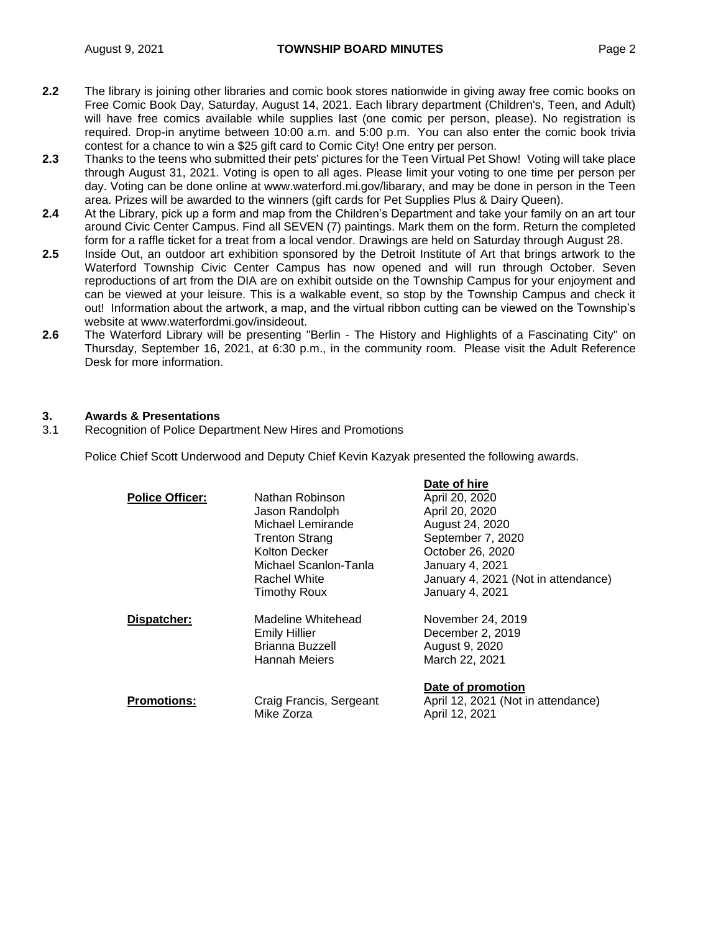- **2.2** The library is joining other libraries and comic book stores nationwide in giving away free comic books on Free Comic Book Day, Saturday, August 14, 2021. Each library department (Children's, Teen, and Adult) will have free comics available while supplies last (one comic per person, please). No registration is required. Drop-in anytime between 10:00 a.m. and 5:00 p.m. You can also enter the comic book trivia contest for a chance to win a \$25 gift card to Comic City! One entry per person.
- **2.3** Thanks to the teens who submitted their pets' pictures for the Teen Virtual Pet Show! Voting will take place through August 31, 2021. Voting is open to all ages. Please limit your voting to one time per person per day. Voting can be done online at www.waterford.mi.gov/libarary, and may be done in person in the Teen area. Prizes will be awarded to the winners (gift cards for Pet Supplies Plus & Dairy Queen).
- **2.4** At the Library, pick up a form and map from the Children's Department and take your family on an art tour around Civic Center Campus. Find all SEVEN (7) paintings. Mark them on the form. Return the completed form for a raffle ticket for a treat from a local vendor. Drawings are held on Saturday through August 28.
- **2.5** Inside Out, an outdoor art exhibition sponsored by the Detroit Institute of Art that brings artwork to the Waterford Township Civic Center Campus has now opened and will run through October. Seven reproductions of art from the DIA are on exhibit outside on the Township Campus for your enjoyment and can be viewed at your leisure. This is a walkable event, so stop by the Township Campus and check it out! Information about the artwork, a map, and the virtual ribbon cutting can be viewed on the Township's website at [www.waterfordmi.gov/insideout.](http://www.waterfordmi.gov/INSIDEOUT)
- **2.6** The Waterford Library will be presenting "Berlin The History and Highlights of a Fascinating City" on Thursday, September 16, 2021, at 6:30 p.m., in the community room. Please visit the Adult Reference Desk for more information.

## **3. Awards & Presentations**

3.1 Recognition of Police Department New Hires and Promotions

Police Chief Scott Underwood and Deputy Chief Kevin Kazyak presented the following awards.

| <b>Police Officer:</b> | Nathan Robinson<br>Jason Randolph<br>Michael Lemirande<br><b>Trenton Strang</b><br>Kolton Decker<br>Michael Scanlon-Tanla<br>Rachel White<br><b>Timothy Roux</b> | Pale VI IIII c<br>April 20, 2020<br>April 20, 2020<br>August 24, 2020<br>September 7, 2020<br>October 26, 2020<br><b>January 4, 2021</b><br>January 4, 2021 (Not in attendance)<br><b>January 4, 2021</b> |
|------------------------|------------------------------------------------------------------------------------------------------------------------------------------------------------------|-----------------------------------------------------------------------------------------------------------------------------------------------------------------------------------------------------------|
| Dispatcher:            | Madeline Whitehead<br><b>Emily Hillier</b><br>Brianna Buzzell<br><b>Hannah Meiers</b>                                                                            | November 24, 2019<br>December 2, 2019<br>August 9, 2020<br>March 22, 2021                                                                                                                                 |
| <b>Promotions:</b>     | Craig Francis, Sergeant<br>Mike Zorza                                                                                                                            | Date of promotion<br>April 12, 2021 (Not in attendance)<br>April 12, 2021                                                                                                                                 |

**Date of hire**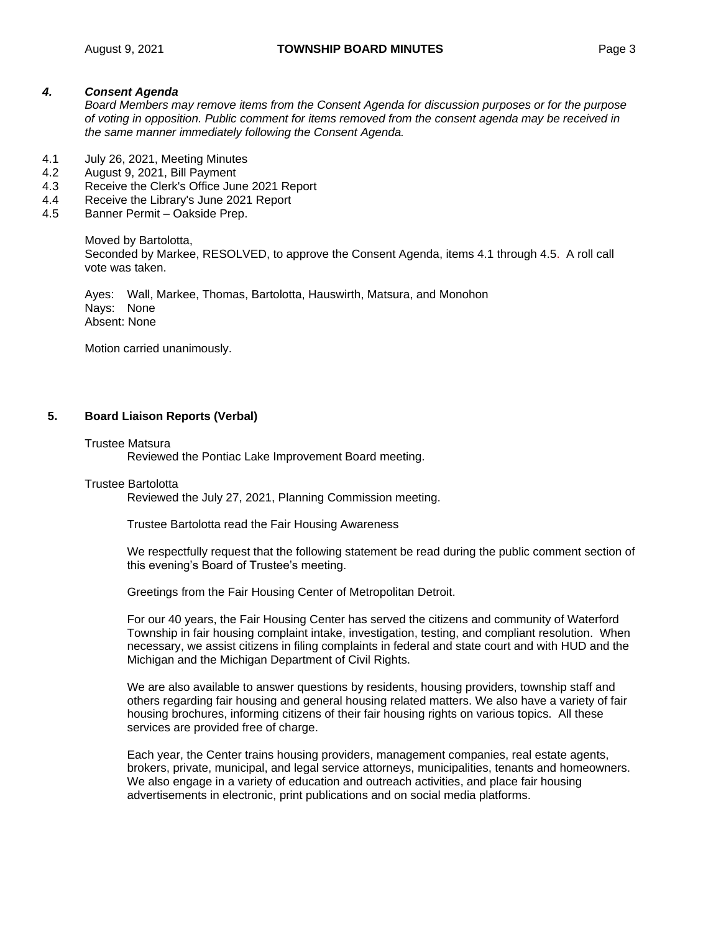#### *4. Consent Agenda*

*Board Members may remove items from the Consent Agenda for discussion purposes or for the purpose of voting in opposition. Public comment for items removed from the consent agenda may be received in the same manner immediately following the Consent Agenda.*

- 4.1 July 26, 2021, Meeting Minutes
- 4.2 August 9, 2021, Bill Payment
- 4.3 Receive the Clerk's Office June 2021 Report
- 4.4 Receive the Library's June 2021 Report
- 4.5 Banner Permit Oakside Prep.

Moved by Bartolotta, Seconded by Markee, RESOLVED, to approve the Consent Agenda, items 4.1 through 4.5. A roll call vote was taken.

Ayes: Wall, Markee, Thomas, Bartolotta, Hauswirth, Matsura, and Monohon Nays: None Absent: None

Motion carried unanimously.

### **5. Board Liaison Reports (Verbal)**

#### Trustee Matsura

Reviewed the Pontiac Lake Improvement Board meeting.

#### Trustee Bartolotta

Reviewed the July 27, 2021, Planning Commission meeting.

Trustee Bartolotta read the Fair Housing Awareness

We respectfully request that the following statement be read during the public comment section of this evening's Board of Trustee's meeting.

Greetings from the Fair Housing Center of Metropolitan Detroit.

For our 40 years, the Fair Housing Center has served the citizens and community of Waterford Township in fair housing complaint intake, investigation, testing, and compliant resolution. When necessary, we assist citizens in filing complaints in federal and state court and with HUD and the Michigan and the Michigan Department of Civil Rights.

We are also available to answer questions by residents, housing providers, township staff and others regarding fair housing and general housing related matters. We also have a variety of fair housing brochures, informing citizens of their fair housing rights on various topics. All these services are provided free of charge.

Each year, the Center trains housing providers, management companies, real estate agents, brokers, private, municipal, and legal service attorneys, municipalities, tenants and homeowners. We also engage in a variety of education and outreach activities, and place fair housing advertisements in electronic, print publications and on social media platforms.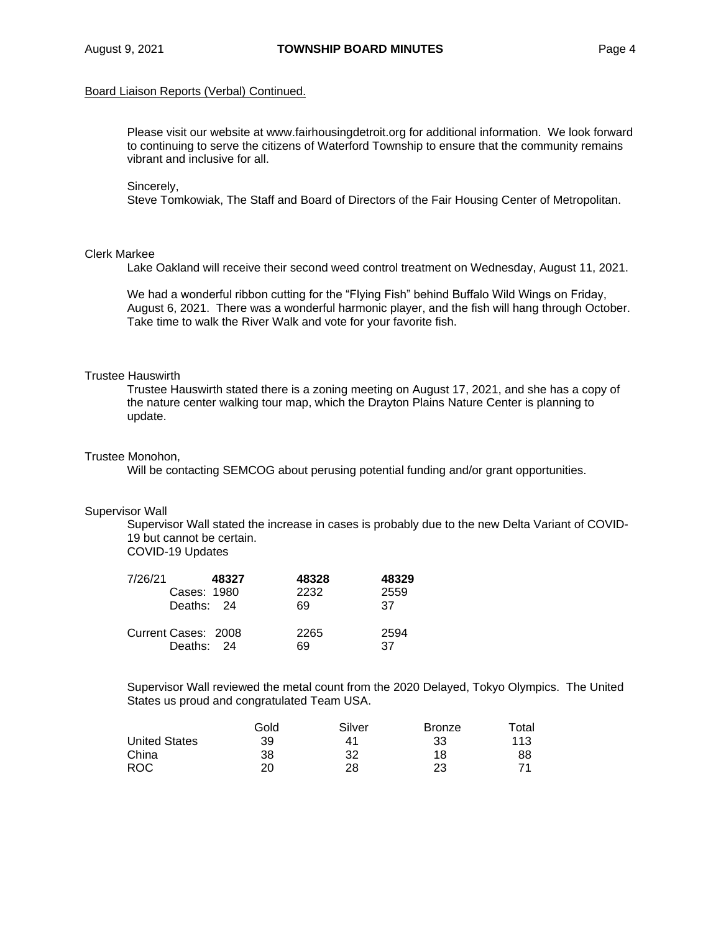# Board Liaison Reports (Verbal) Continued.

Please visit our website at [www.fairhousingdetroit.org](http://www.fairhousingdetroit.org/) for additional information. We look forward to continuing to serve the citizens of Waterford Township to ensure that the community remains vibrant and inclusive for all.

## Sincerely,

Steve Tomkowiak, The Staff and Board of Directors of the Fair Housing Center of Metropolitan.

## Clerk Markee

Lake Oakland will receive their second weed control treatment on Wednesday, August 11, 2021.

We had a wonderful ribbon cutting for the "Flying Fish" behind Buffalo Wild Wings on Friday, August 6, 2021. There was a wonderful harmonic player, and the fish will hang through October. Take time to walk the River Walk and vote for your favorite fish.

## Trustee Hauswirth

Trustee Hauswirth stated there is a zoning meeting on August 17, 2021, and she has a copy of the nature center walking tour map, which the Drayton Plains Nature Center is planning to update.

## Trustee Monohon,

Will be contacting SEMCOG about perusing potential funding and/or grant opportunities.

# Supervisor Wall

Supervisor Wall stated the increase in cases is probably due to the new Delta Variant of COVID-19 but cannot be certain.

COVID-19 Updates

| 7/26/21 | Cases: 1980<br>Deaths: 24         | 48327 | 48328<br>2232<br>69 | 48329<br>2559<br>37 |
|---------|-----------------------------------|-------|---------------------|---------------------|
|         | Current Cases: 2008<br>Deaths: 24 |       | 2265<br>69          | 2594<br>37          |

Supervisor Wall reviewed the metal count from the 2020 Delayed, Tokyo Olympics. The United States us proud and congratulated Team USA.

|                      | Gold | Silver | <b>Bronze</b> | Total |
|----------------------|------|--------|---------------|-------|
| <b>United States</b> | 39   | 41     | 33            | 113   |
| China                | 38   | 32     | 18            | 88    |
| ROC.                 | 20   | 28     | 23            | 71    |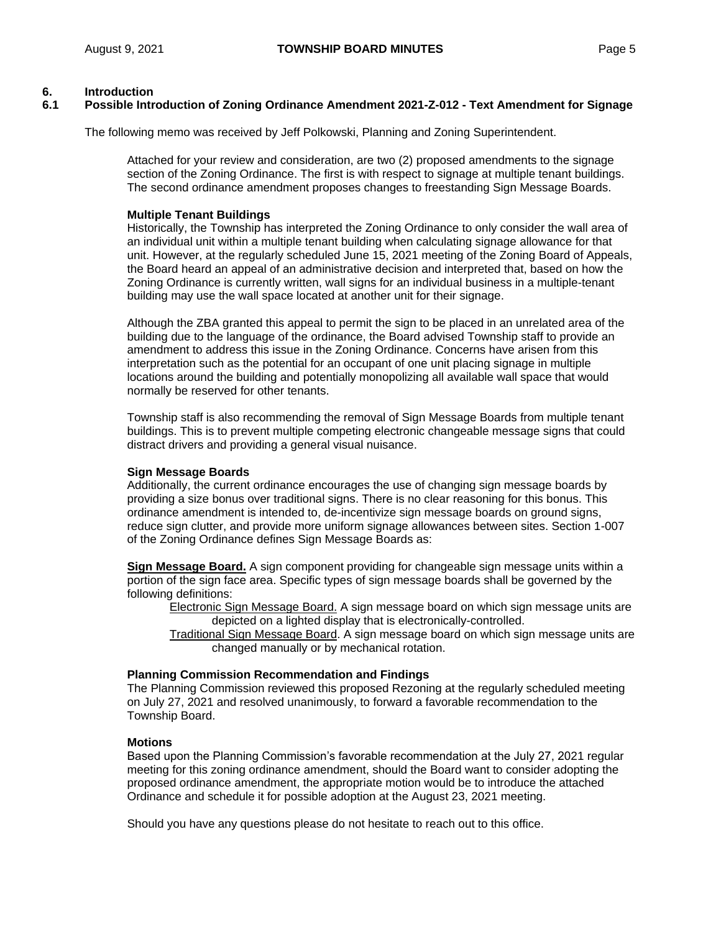## **6. Introduction**

## **6.1 Possible Introduction of Zoning Ordinance Amendment 2021-Z-012 - Text Amendment for Signage**

The following memo was received by Jeff Polkowski, Planning and Zoning Superintendent.

Attached for your review and consideration, are two (2) proposed amendments to the signage section of the Zoning Ordinance. The first is with respect to signage at multiple tenant buildings. The second ordinance amendment proposes changes to freestanding Sign Message Boards.

### **Multiple Tenant Buildings**

Historically, the Township has interpreted the Zoning Ordinance to only consider the wall area of an individual unit within a multiple tenant building when calculating signage allowance for that unit. However, at the regularly scheduled June 15, 2021 meeting of the Zoning Board of Appeals, the Board heard an appeal of an administrative decision and interpreted that, based on how the Zoning Ordinance is currently written, wall signs for an individual business in a multiple-tenant building may use the wall space located at another unit for their signage.

Although the ZBA granted this appeal to permit the sign to be placed in an unrelated area of the building due to the language of the ordinance, the Board advised Township staff to provide an amendment to address this issue in the Zoning Ordinance. Concerns have arisen from this interpretation such as the potential for an occupant of one unit placing signage in multiple locations around the building and potentially monopolizing all available wall space that would normally be reserved for other tenants.

Township staff is also recommending the removal of Sign Message Boards from multiple tenant buildings. This is to prevent multiple competing electronic changeable message signs that could distract drivers and providing a general visual nuisance.

#### **Sign Message Boards**

Additionally, the current ordinance encourages the use of changing sign message boards by providing a size bonus over traditional signs. There is no clear reasoning for this bonus. This ordinance amendment is intended to, de-incentivize sign message boards on ground signs, reduce sign clutter, and provide more uniform signage allowances between sites. Section 1-007 of the Zoning Ordinance defines Sign Message Boards as:

**Sign Message Board.** A sign component providing for changeable sign message units within a portion of the sign face area. Specific types of sign message boards shall be governed by the following definitions:

Electronic Sign Message Board. A sign message board on which sign message units are depicted on a lighted display that is electronically-controlled.

Traditional Sign Message Board. A sign message board on which sign message units are changed manually or by mechanical rotation.

#### **Planning Commission Recommendation and Findings**

The Planning Commission reviewed this proposed Rezoning at the regularly scheduled meeting on July 27, 2021 and resolved unanimously, to forward a favorable recommendation to the Township Board.

#### **Motions**

Based upon the Planning Commission's favorable recommendation at the July 27, 2021 regular meeting for this zoning ordinance amendment, should the Board want to consider adopting the proposed ordinance amendment, the appropriate motion would be to introduce the attached Ordinance and schedule it for possible adoption at the August 23, 2021 meeting.

Should you have any questions please do not hesitate to reach out to this office.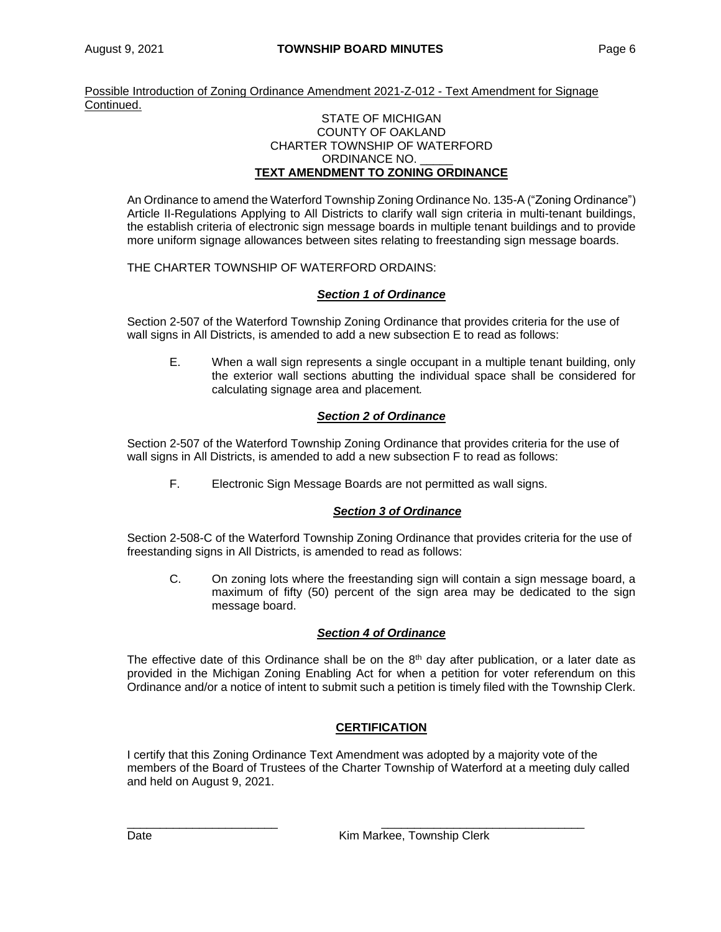Possible Introduction of Zoning Ordinance Amendment 2021-Z-012 - Text Amendment for Signage Continued.

### STATE OF MICHIGAN COUNTY OF OAKLAND CHARTER TOWNSHIP OF WATERFORD ORDINANCE NO. **TEXT AMENDMENT TO ZONING ORDINANCE**

An Ordinance to amend the Waterford Township Zoning Ordinance No. 135-A ("Zoning Ordinance") Article II-Regulations Applying to All Districts to clarify wall sign criteria in multi-tenant buildings, the establish criteria of electronic sign message boards in multiple tenant buildings and to provide more uniform signage allowances between sites relating to freestanding sign message boards.

# THE CHARTER TOWNSHIP OF WATERFORD ORDAINS:

# *Section 1 of Ordinance*

Section 2-507 of the Waterford Township Zoning Ordinance that provides criteria for the use of wall signs in All Districts, is amended to add a new subsection E to read as follows:

E. When a wall sign represents a single occupant in a multiple tenant building, only the exterior wall sections abutting the individual space shall be considered for calculating signage area and placement*.*

## *Section 2 of Ordinance*

Section 2-507 of the Waterford Township Zoning Ordinance that provides criteria for the use of wall signs in All Districts, is amended to add a new subsection F to read as follows:

F. Electronic Sign Message Boards are not permitted as wall signs.

# *Section 3 of Ordinance*

Section 2-508-C of the Waterford Township Zoning Ordinance that provides criteria for the use of freestanding signs in All Districts, is amended to read as follows:

C. On zoning lots where the freestanding sign will contain a sign message board, a maximum of fifty (50) percent of the sign area may be dedicated to the sign message board.

## *Section 4 of Ordinance*

The effective date of this Ordinance shall be on the  $8<sup>th</sup>$  day after publication, or a later date as provided in the Michigan Zoning Enabling Act for when a petition for voter referendum on this Ordinance and/or a notice of intent to submit such a petition is timely filed with the Township Clerk.

# **CERTIFICATION**

I certify that this Zoning Ordinance Text Amendment was adopted by a majority vote of the members of the Board of Trustees of the Charter Township of Waterford at a meeting duly called and held on August 9, 2021.

\_\_\_\_\_\_\_\_\_\_\_\_\_\_\_\_\_\_\_\_\_\_\_ \_\_\_\_\_\_\_\_\_\_\_\_\_\_\_\_\_\_\_\_\_\_\_\_\_\_\_\_\_\_\_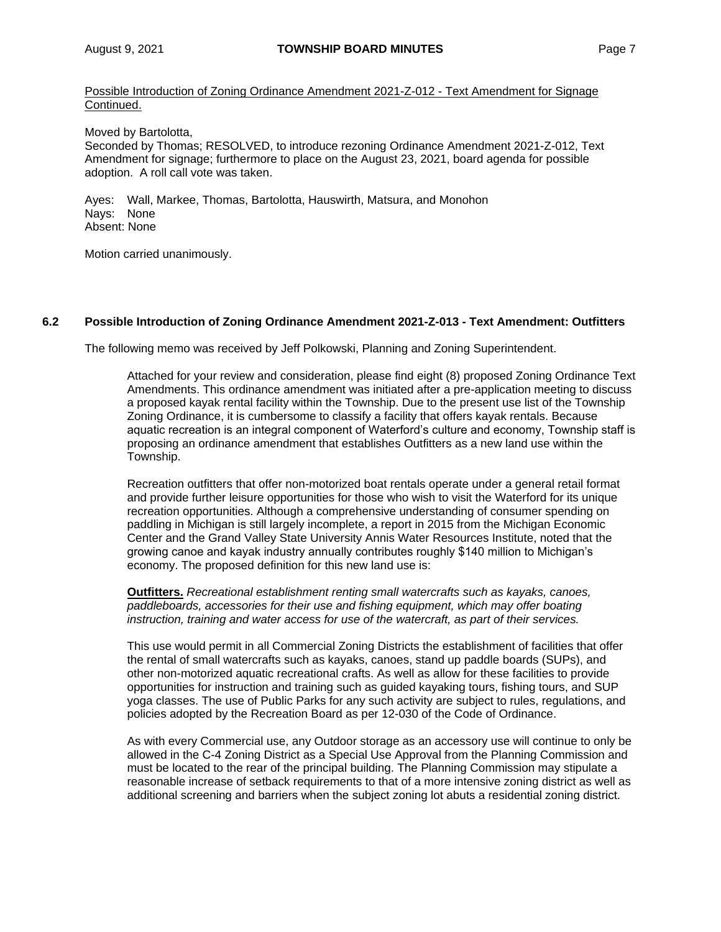Possible Introduction of Zoning Ordinance Amendment 2021-Z-012 - Text Amendment for Signage Continued.

Moved by Bartolotta,

Seconded by Thomas; RESOLVED, to introduce rezoning Ordinance Amendment 2021-Z-012, Text Amendment for signage; furthermore to place on the August 23, 2021, board agenda for possible adoption. A roll call vote was taken.

Ayes: Wall, Markee, Thomas, Bartolotta, Hauswirth, Matsura, and Monohon Nays: None Absent: None

Motion carried unanimously.

## **6.2 Possible Introduction of Zoning Ordinance Amendment 2021-Z-013 - Text Amendment: Outfitters**

The following memo was received by Jeff Polkowski, Planning and Zoning Superintendent.

Attached for your review and consideration, please find eight (8) proposed Zoning Ordinance Text Amendments. This ordinance amendment was initiated after a pre-application meeting to discuss a proposed kayak rental facility within the Township. Due to the present use list of the Township Zoning Ordinance, it is cumbersome to classify a facility that offers kayak rentals. Because aquatic recreation is an integral component of Waterford's culture and economy, Township staff is proposing an ordinance amendment that establishes Outfitters as a new land use within the Township.

Recreation outfitters that offer non-motorized boat rentals operate under a general retail format and provide further leisure opportunities for those who wish to visit the Waterford for its unique recreation opportunities. Although a comprehensive understanding of consumer spending on paddling in Michigan is still largely incomplete, a report in 2015 from the Michigan Economic Center and the Grand Valley State University Annis Water Resources Institute, noted that the growing canoe and kayak industry annually contributes roughly \$140 million to Michigan's economy. The proposed definition for this new land use is:

**Outfitters.** *Recreational establishment renting small watercrafts such as kayaks, canoes, paddleboards, accessories for their use and fishing equipment, which may offer boating instruction, training and water access for use of the watercraft, as part of their services.*

This use would permit in all Commercial Zoning Districts the establishment of facilities that offer the rental of small watercrafts such as kayaks, canoes, stand up paddle boards (SUPs), and other non-motorized aquatic recreational crafts. As well as allow for these facilities to provide opportunities for instruction and training such as guided kayaking tours, fishing tours, and SUP yoga classes. The use of Public Parks for any such activity are subject to rules, regulations, and policies adopted by the Recreation Board as per 12-030 of the Code of Ordinance.

As with every Commercial use, any Outdoor storage as an accessory use will continue to only be allowed in the C-4 Zoning District as a Special Use Approval from the Planning Commission and must be located to the rear of the principal building. The Planning Commission may stipulate a reasonable increase of setback requirements to that of a more intensive zoning district as well as additional screening and barriers when the subject zoning lot abuts a residential zoning district.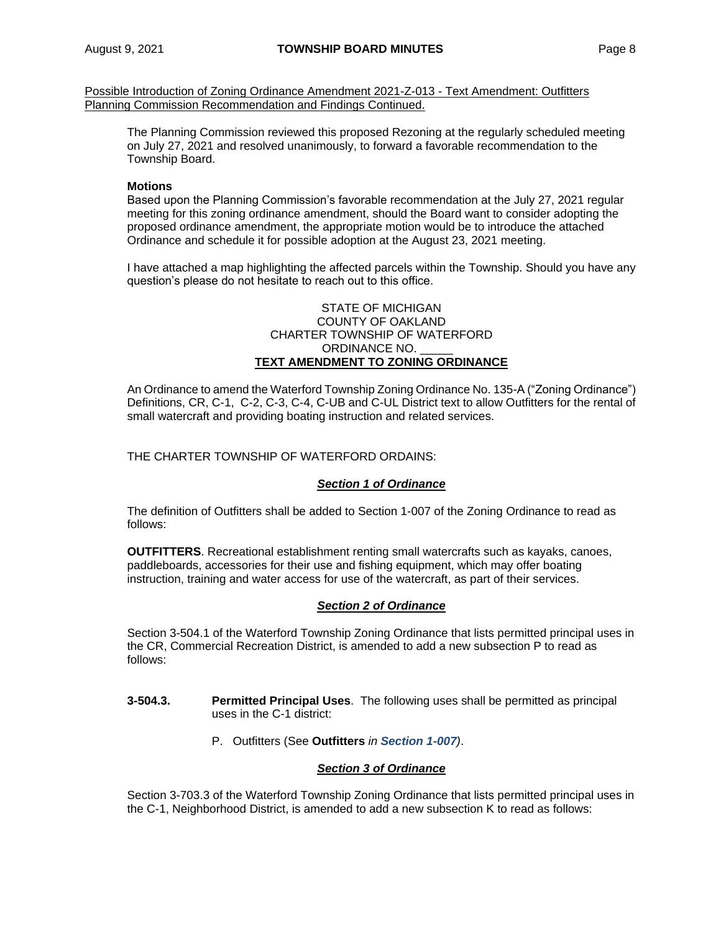Possible Introduction of Zoning Ordinance Amendment 2021-Z-013 - Text Amendment: Outfitters Planning Commission Recommendation and Findings Continued.

The Planning Commission reviewed this proposed Rezoning at the regularly scheduled meeting on July 27, 2021 and resolved unanimously, to forward a favorable recommendation to the Township Board.

## **Motions**

Based upon the Planning Commission's favorable recommendation at the July 27, 2021 regular meeting for this zoning ordinance amendment, should the Board want to consider adopting the proposed ordinance amendment, the appropriate motion would be to introduce the attached Ordinance and schedule it for possible adoption at the August 23, 2021 meeting.

I have attached a map highlighting the affected parcels within the Township. Should you have any question's please do not hesitate to reach out to this office.

#### STATE OF MICHIGAN COUNTY OF OAKLAND CHARTER TOWNSHIP OF WATERFORD ORDINANCE NO. **TEXT AMENDMENT TO ZONING ORDINANCE**

An Ordinance to amend the Waterford Township Zoning Ordinance No. 135-A ("Zoning Ordinance") Definitions, CR, C-1, C-2, C-3, C-4, C-UB and C-UL District text to allow Outfitters for the rental of small watercraft and providing boating instruction and related services.

### THE CHARTER TOWNSHIP OF WATERFORD ORDAINS:

#### *Section 1 of Ordinance*

The definition of Outfitters shall be added to Section 1-007 of the Zoning Ordinance to read as follows:

**OUTFITTERS**. Recreational establishment renting small watercrafts such as kayaks, canoes, paddleboards, accessories for their use and fishing equipment, which may offer boating instruction, training and water access for use of the watercraft, as part of their services.

## *Section 2 of Ordinance*

Section 3-504.1 of the Waterford Township Zoning Ordinance that lists permitted principal uses in the CR, Commercial Recreation District, is amended to add a new subsection P to read as follows:

- **3-504.3. Permitted Principal Uses**. The following uses shall be permitted as principal uses in the C-1 district:
	- P. Outfitters (See **Outfitters** *in Section 1-007)*.

#### *Section 3 of Ordinance*

Section 3-703.3 of the Waterford Township Zoning Ordinance that lists permitted principal uses in the C-1, Neighborhood District, is amended to add a new subsection K to read as follows: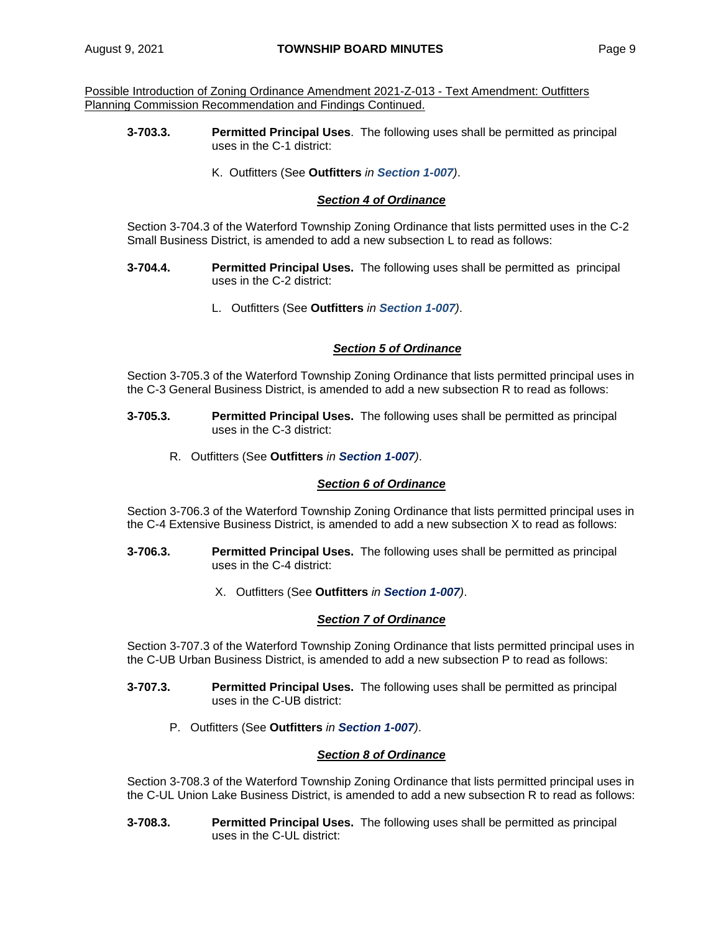Possible Introduction of Zoning Ordinance Amendment 2021-Z-013 - Text Amendment: Outfitters Planning Commission Recommendation and Findings Continued.

- **3-703.3. Permitted Principal Uses**. The following uses shall be permitted as principal uses in the C-1 district:
	- K. Outfitters (See **Outfitters** *in Section 1-007)*.

## *Section 4 of Ordinance*

Section 3-704.3 of the Waterford Township Zoning Ordinance that lists permitted uses in the C-2 Small Business District, is amended to add a new subsection L to read as follows:

- **3-704.4. Permitted Principal Uses.** The following uses shall be permitted as principal uses in the C-2 district:
	- L. Outfitters (See **Outfitters** *in Section 1-007)*.

### *Section 5 of Ordinance*

Section 3-705.3 of the Waterford Township Zoning Ordinance that lists permitted principal uses in the C-3 General Business District, is amended to add a new subsection R to read as follows:

- **3-705.3. Permitted Principal Uses.** The following uses shall be permitted as principal uses in the C-3 district:
	- R. Outfitters (See **Outfitters** *in Section 1-007)*.

#### *Section 6 of Ordinance*

Section 3-706.3 of the Waterford Township Zoning Ordinance that lists permitted principal uses in the C-4 Extensive Business District, is amended to add a new subsection X to read as follows:

- **3-706.3. Permitted Principal Uses.** The following uses shall be permitted as principal uses in the C-4 district:
	- X. Outfitters (See **Outfitters** *in Section 1-007)*.

#### *Section 7 of Ordinance*

Section 3-707.3 of the Waterford Township Zoning Ordinance that lists permitted principal uses in the C-UB Urban Business District, is amended to add a new subsection P to read as follows:

- **3-707.3. Permitted Principal Uses.** The following uses shall be permitted as principal uses in the C-UB district:
	- P. Outfitters (See **Outfitters** *in Section 1-007)*.

## *Section 8 of Ordinance*

Section 3-708.3 of the Waterford Township Zoning Ordinance that lists permitted principal uses in the C-UL Union Lake Business District, is amended to add a new subsection R to read as follows:

**3-708.3. Permitted Principal Uses.** The following uses shall be permitted as principal uses in the C-UL district: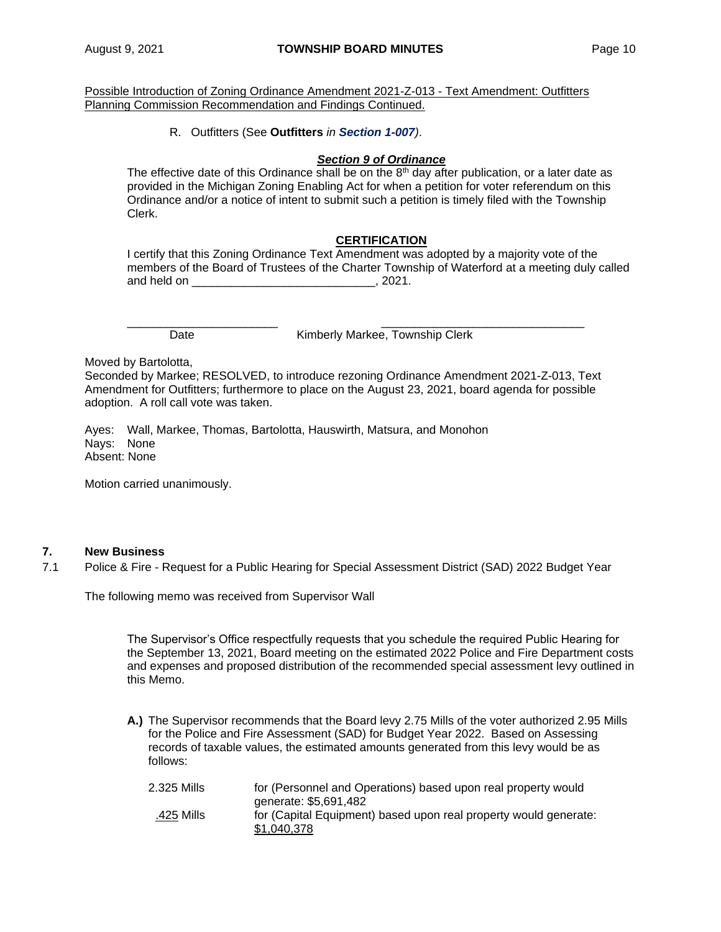Possible Introduction of Zoning Ordinance Amendment 2021-Z-013 - Text Amendment: Outfitters Planning Commission Recommendation and Findings Continued.

R. Outfitters (See **Outfitters** *in Section 1-007)*.

### *Section 9 of Ordinance*

The effective date of this Ordinance shall be on the  $8<sup>th</sup>$  day after publication, or a later date as provided in the Michigan Zoning Enabling Act for when a petition for voter referendum on this Ordinance and/or a notice of intent to submit such a petition is timely filed with the Township Clerk.

### **CERTIFICATION**

I certify that this Zoning Ordinance Text Amendment was adopted by a majority vote of the members of the Board of Trustees of the Charter Township of Waterford at a meeting duly called and held on  $\sim$  0.221.

\_\_\_\_\_\_\_\_\_\_\_\_\_\_\_\_\_\_\_\_\_\_\_ \_\_\_\_\_\_\_\_\_\_\_\_\_\_\_\_\_\_\_\_\_\_\_\_\_\_\_\_\_\_\_

Date **Kimberly Markee, Township Clerk** 

Moved by Bartolotta,

Seconded by Markee; RESOLVED, to introduce rezoning Ordinance Amendment 2021-Z-013, Text Amendment for Outfitters; furthermore to place on the August 23, 2021, board agenda for possible adoption. A roll call vote was taken.

Ayes: Wall, Markee, Thomas, Bartolotta, Hauswirth, Matsura, and Monohon Nays: None Absent: None

Motion carried unanimously.

# **7. New Business**

7.1 Police & Fire - Request for a Public Hearing for Special Assessment District (SAD) 2022 Budget Year

The following memo was received from Supervisor Wall

The Supervisor's Office respectfully requests that you schedule the required Public Hearing for the September 13, 2021, Board meeting on the estimated 2022 Police and Fire Department costs and expenses and proposed distribution of the recommended special assessment levy outlined in this Memo.

**A.)** The Supervisor recommends that the Board levy 2.75 Mills of the voter authorized 2.95 Mills for the Police and Fire Assessment (SAD) for Budget Year 2022. Based on Assessing records of taxable values, the estimated amounts generated from this levy would be as follows:

| 2.325 Mills | for (Personnel and Operations) based upon real property would    |
|-------------|------------------------------------------------------------------|
|             | generate: \$5,691,482                                            |
| .425 Mills  | for (Capital Equipment) based upon real property would generate: |
|             | \$1,040,378                                                      |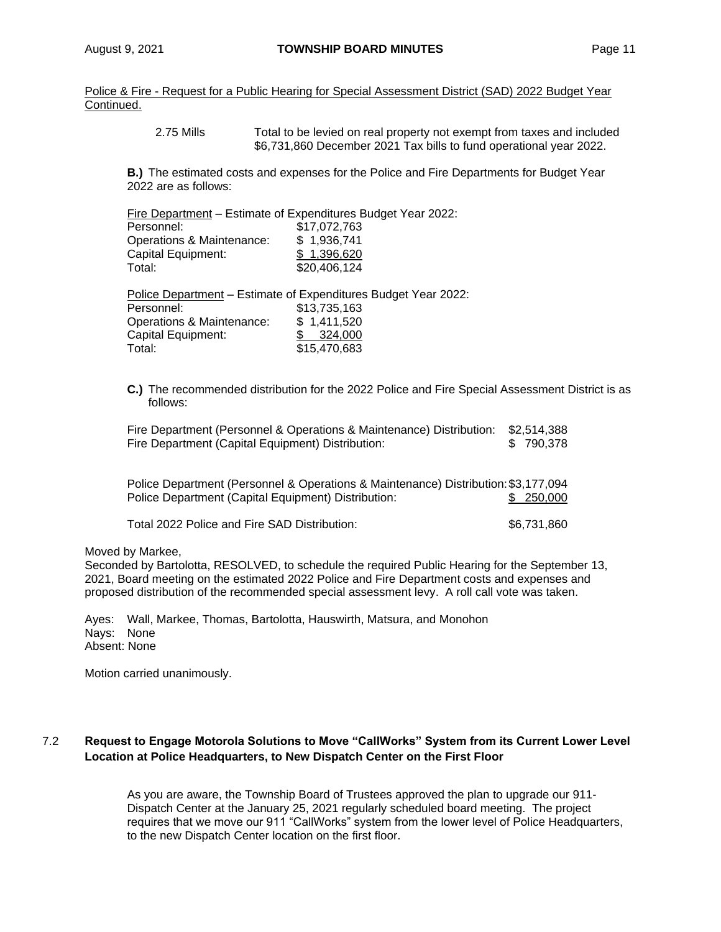Police & Fire - Request for a Public Hearing for Special Assessment District (SAD) 2022 Budget Year Continued.

> 2.75 Mills Total to be levied on real property not exempt from taxes and included \$6,731,860 December 2021 Tax bills to fund operational year 2022.

**B.)** The estimated costs and expenses for the Police and Fire Departments for Budget Year 2022 are as follows:

Fire Department – Estimate of Expenditures Budget Year 2022:

| Personnel:                | \$17,072,763 |
|---------------------------|--------------|
| Operations & Maintenance: | \$1,936,741  |
| Capital Equipment:        | \$1.396.620  |
| Total:                    | \$20,406,124 |
|                           |              |

Police Department – Estimate of Expenditures Budget Year 2022: Personnel: \$13,735,163 Operations & Maintenance: \$ 1,411,520 Capital Equipment: \$ 324,000 Total: \$15,470,683

**C.)** The recommended distribution for the 2022 Police and Fire Special Assessment District is as follows:

Fire Department (Personnel & Operations & Maintenance) Distribution: \$2,514,388 Fire Department (Capital Equipment) Distribution: \$ 790,378

| Police Department (Personnel & Operations & Maintenance) Distribution: \$3,177,094 |            |
|------------------------------------------------------------------------------------|------------|
| Police Department (Capital Equipment) Distribution:                                | \$ 250,000 |
|                                                                                    |            |

Total 2022 Police and Fire SAD Distribution:  $$6,731,860$ 

#### Moved by Markee,

Seconded by Bartolotta, RESOLVED, to schedule the required Public Hearing for the September 13, 2021, Board meeting on the estimated 2022 Police and Fire Department costs and expenses and proposed distribution of the recommended special assessment levy. A roll call vote was taken.

Ayes: Wall, Markee, Thomas, Bartolotta, Hauswirth, Matsura, and Monohon Nays: None Absent: None

Motion carried unanimously.

## 7.2 **Request to Engage Motorola Solutions to Move "CallWorks" System from its Current Lower Level Location at Police Headquarters, to New Dispatch Center on the First Floor**

As you are aware, the Township Board of Trustees approved the plan to upgrade our 911- Dispatch Center at the January 25, 2021 regularly scheduled board meeting. The project requires that we move our 911 "CallWorks" system from the lower level of Police Headquarters, to the new Dispatch Center location on the first floor.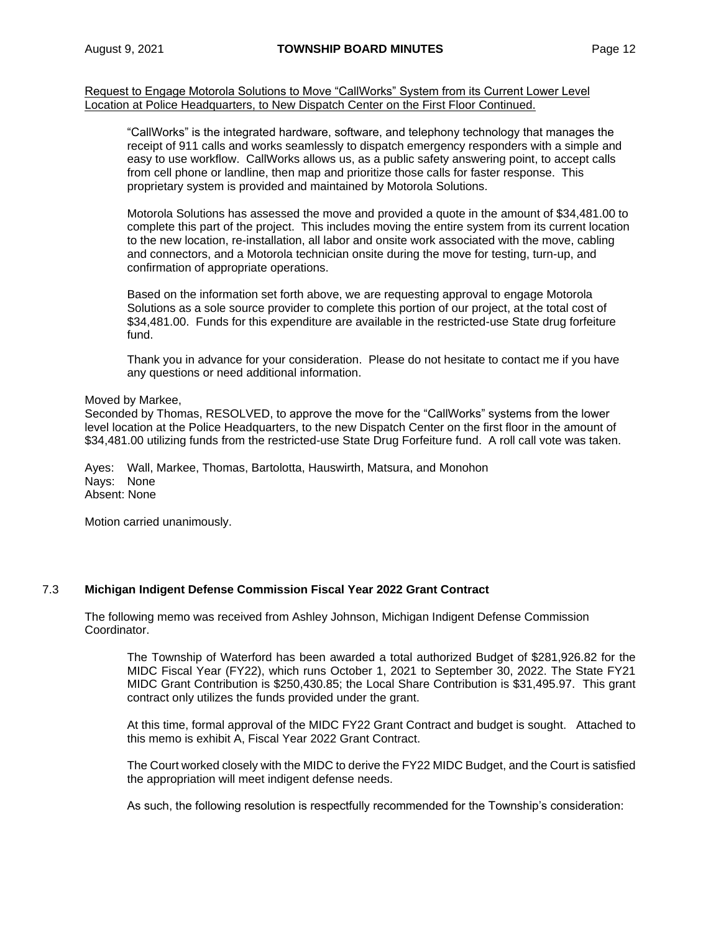Request to Engage Motorola Solutions to Move "CallWorks" System from its Current Lower Level Location at Police Headquarters, to New Dispatch Center on the First Floor Continued.

"CallWorks" is the integrated hardware, software, and telephony technology that manages the receipt of 911 calls and works seamlessly to dispatch emergency responders with a simple and easy to use workflow. CallWorks allows us, as a public safety answering point, to accept calls from cell phone or landline, then map and prioritize those calls for faster response. This proprietary system is provided and maintained by Motorola Solutions.

Motorola Solutions has assessed the move and provided a quote in the amount of \$34,481.00 to complete this part of the project. This includes moving the entire system from its current location to the new location, re-installation, all labor and onsite work associated with the move, cabling and connectors, and a Motorola technician onsite during the move for testing, turn-up, and confirmation of appropriate operations.

Based on the information set forth above, we are requesting approval to engage Motorola Solutions as a sole source provider to complete this portion of our project, at the total cost of \$34,481.00. Funds for this expenditure are available in the restricted-use State drug forfeiture fund.

Thank you in advance for your consideration. Please do not hesitate to contact me if you have any questions or need additional information.

#### Moved by Markee,

Seconded by Thomas, RESOLVED, to approve the move for the "CallWorks" systems from the lower level location at the Police Headquarters, to the new Dispatch Center on the first floor in the amount of \$34,481.00 utilizing funds from the restricted-use State Drug Forfeiture fund. A roll call vote was taken.

Ayes: Wall, Markee, Thomas, Bartolotta, Hauswirth, Matsura, and Monohon Nays: None Absent: None

Motion carried unanimously.

#### 7.3 **Michigan Indigent Defense Commission Fiscal Year 2022 Grant Contract**

The following memo was received from Ashley Johnson, Michigan Indigent Defense Commission Coordinator.

The Township of Waterford has been awarded a total authorized Budget of \$281,926.82 for the MIDC Fiscal Year (FY22), which runs October 1, 2021 to September 30, 2022. The State FY21 MIDC Grant Contribution is \$250,430.85; the Local Share Contribution is \$31,495.97. This grant contract only utilizes the funds provided under the grant.

At this time, formal approval of the MIDC FY22 Grant Contract and budget is sought. Attached to this memo is exhibit A, Fiscal Year 2022 Grant Contract.

The Court worked closely with the MIDC to derive the FY22 MIDC Budget, and the Court is satisfied the appropriation will meet indigent defense needs.

As such, the following resolution is respectfully recommended for the Township's consideration: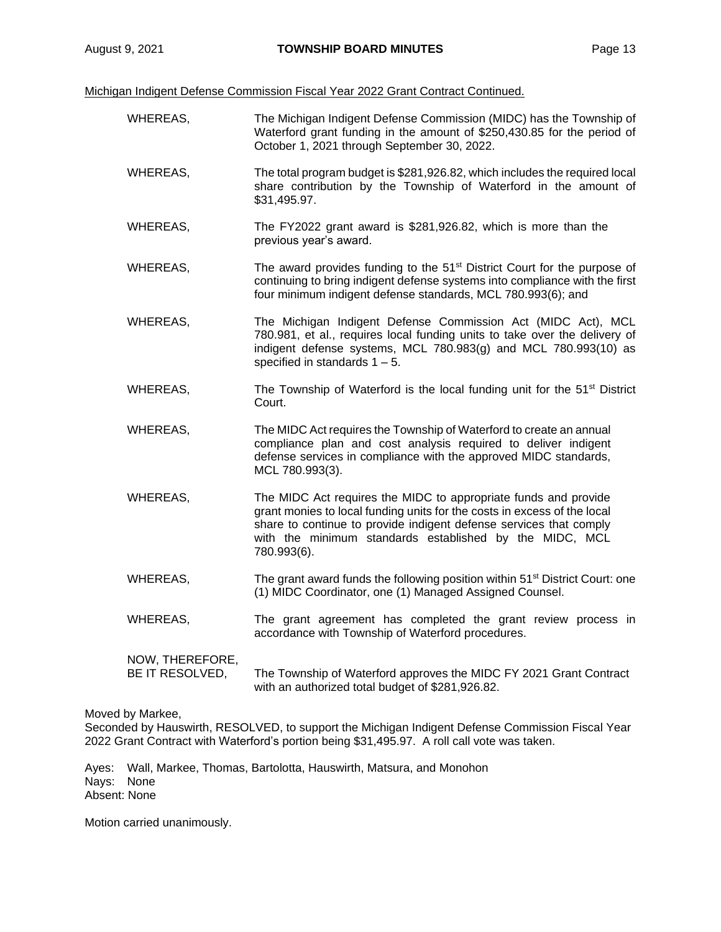Michigan Indigent Defense Commission Fiscal Year 2022 Grant Contract Continued.

WHEREAS, The Michigan Indigent Defense Commission (MIDC) has the Township of Waterford grant funding in the amount of \$250,430.85 for the period of October 1, 2021 through September 30, 2022. WHEREAS, The total program budget is \$281,926.82, which includes the required local share contribution by the Township of Waterford in the amount of \$31,495.97. WHEREAS, The FY2022 grant award is \$281,926.82, which is more than the previous year's award. WHEREAS, The award provides funding to the  $51<sup>st</sup>$  District Court for the purpose of continuing to bring indigent defense systems into compliance with the first four minimum indigent defense standards, MCL 780.993(6); and WHEREAS, The Michigan Indigent Defense Commission Act (MIDC Act), MCL 780.981, et al., requires local funding units to take over the delivery of indigent defense systems, MCL 780.983(g) and MCL 780.993(10) as specified in standards 1 – 5. WHEREAS, The Township of Waterford is the local funding unit for the  $51<sup>st</sup>$  District Court. WHEREAS, The MIDC Act requires the Township of Waterford to create an annual compliance plan and cost analysis required to deliver indigent defense services in compliance with the approved MIDC standards, MCL 780.993(3). WHEREAS, The MIDC Act requires the MIDC to appropriate funds and provide grant monies to local funding units for the costs in excess of the local share to continue to provide indigent defense services that comply with the minimum standards established by the MIDC, MCL 780.993(6). WHEREAS, The grant award funds the following position within  $51<sup>st</sup>$  District Court: one (1) MIDC Coordinator, one (1) Managed Assigned Counsel. WHEREAS, The grant agreement has completed the grant review process in accordance with Township of Waterford procedures. NOW, THEREFORE, BE IT RESOLVED, The Township of Waterford approves the MIDC FY 2021 Grant Contract with an authorized total budget of \$281,926.82.

Moved by Markee,

Seconded by Hauswirth, RESOLVED, to support the Michigan Indigent Defense Commission Fiscal Year 2022 Grant Contract with Waterford's portion being \$31,495.97. A roll call vote was taken.

Ayes: Wall, Markee, Thomas, Bartolotta, Hauswirth, Matsura, and Monohon Nays: None Absent: None

Motion carried unanimously.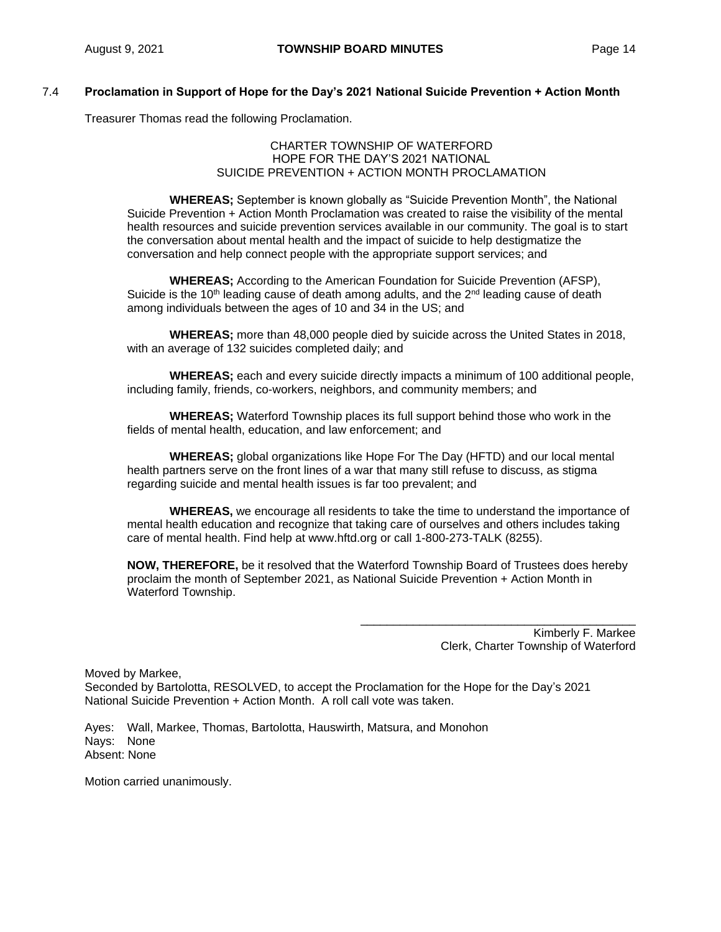## 7.4 **Proclamation in Support of Hope for the Day's 2021 National Suicide Prevention + Action Month**

Treasurer Thomas read the following Proclamation.

#### CHARTER TOWNSHIP OF WATERFORD HOPE FOR THE DAY'S 2021 NATIONAL SUICIDE PREVENTION + ACTION MONTH PROCLAMATION

**WHEREAS;** September is known globally as "Suicide Prevention Month", the National Suicide Prevention + Action Month Proclamation was created to raise the visibility of the mental health resources and suicide prevention services available in our community. The goal is to start the conversation about mental health and the impact of suicide to help destigmatize the conversation and help connect people with the appropriate support services; and

**WHEREAS;** According to the American Foundation for Suicide Prevention (AFSP), Suicide is the 10<sup>th</sup> leading cause of death among adults, and the  $2<sup>nd</sup>$  leading cause of death among individuals between the ages of 10 and 34 in the US; and

**WHEREAS;** more than 48,000 people died by suicide across the United States in 2018, with an average of 132 suicides completed daily; and

**WHEREAS;** each and every suicide directly impacts a minimum of 100 additional people, including family, friends, co-workers, neighbors, and community members; and

**WHEREAS;** Waterford Township places its full support behind those who work in the fields of mental health, education, and law enforcement; and

**WHEREAS;** global organizations like Hope For The Day (HFTD) and our local mental health partners serve on the front lines of a war that many still refuse to discuss, as stigma regarding suicide and mental health issues is far too prevalent; and

**WHEREAS,** we encourage all residents to take the time to understand the importance of mental health education and recognize that taking care of ourselves and others includes taking care of mental health. Find help at [www.hftd.org](http://www.hftd.org/) or call 1-800-273-TALK (8255).

**NOW, THEREFORE,** be it resolved that the Waterford Township Board of Trustees does hereby proclaim the month of September 2021, as National Suicide Prevention + Action Month in Waterford Township.

> Kimberly F. Markee Clerk, Charter Township of Waterford

\_\_\_\_\_\_\_\_\_\_\_\_\_\_\_\_\_\_\_\_\_\_\_\_\_\_\_\_\_\_\_\_\_\_\_\_\_\_\_\_\_\_

Moved by Markee, Seconded by Bartolotta, RESOLVED, to accept the Proclamation for the Hope for the Day's 2021 National Suicide Prevention + Action Month. A roll call vote was taken.

Ayes: Wall, Markee, Thomas, Bartolotta, Hauswirth, Matsura, and Monohon Nays: None Absent: None

Motion carried unanimously.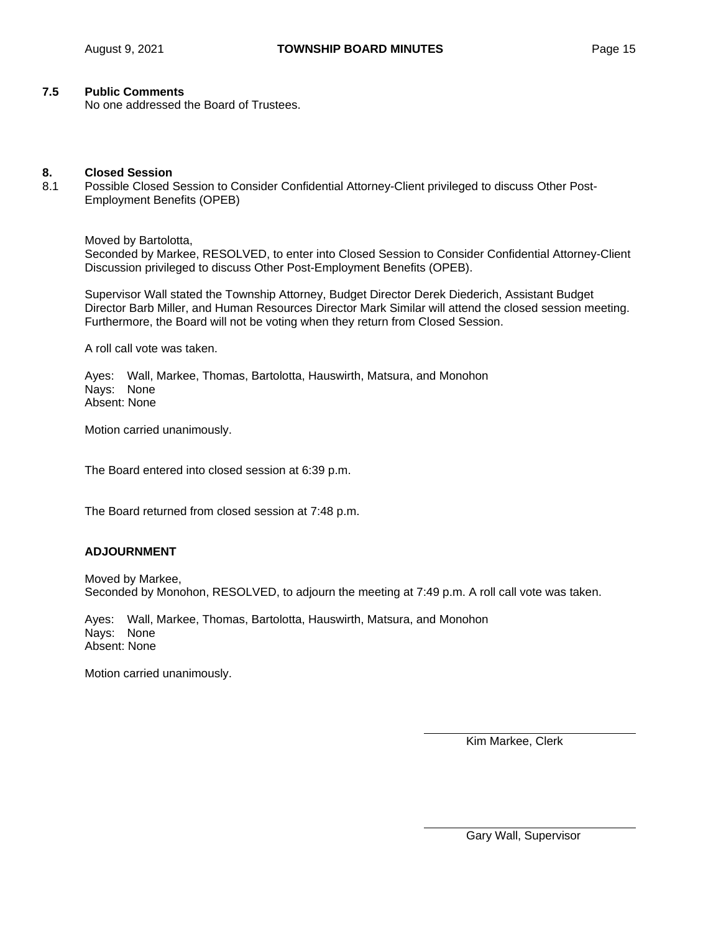### **7.5 Public Comments**

No one addressed the Board of Trustees.

#### **8. Closed Session**

8.1 Possible Closed Session to Consider Confidential Attorney-Client privileged to discuss Other Post-Employment Benefits (OPEB)

Moved by Bartolotta, Seconded by Markee, RESOLVED, to enter into Closed Session to Consider Confidential Attorney-Client Discussion privileged to discuss Other Post-Employment Benefits (OPEB).

Supervisor Wall stated the Township Attorney, Budget Director Derek Diederich, Assistant Budget Director Barb Miller, and Human Resources Director Mark Similar will attend the closed session meeting. Furthermore, the Board will not be voting when they return from Closed Session.

A roll call vote was taken.

Ayes: Wall, Markee, Thomas, Bartolotta, Hauswirth, Matsura, and Monohon Nays: None Absent: None

Motion carried unanimously.

The Board entered into closed session at 6:39 p.m.

The Board returned from closed session at 7:48 p.m.

#### **ADJOURNMENT**

Moved by Markee, Seconded by Monohon, RESOLVED, to adjourn the meeting at 7:49 p.m. A roll call vote was taken.

Ayes: Wall, Markee, Thomas, Bartolotta, Hauswirth, Matsura, and Monohon Nays: None Absent: None

Motion carried unanimously.

Kim Markee, Clerk

Gary Wall, Supervisor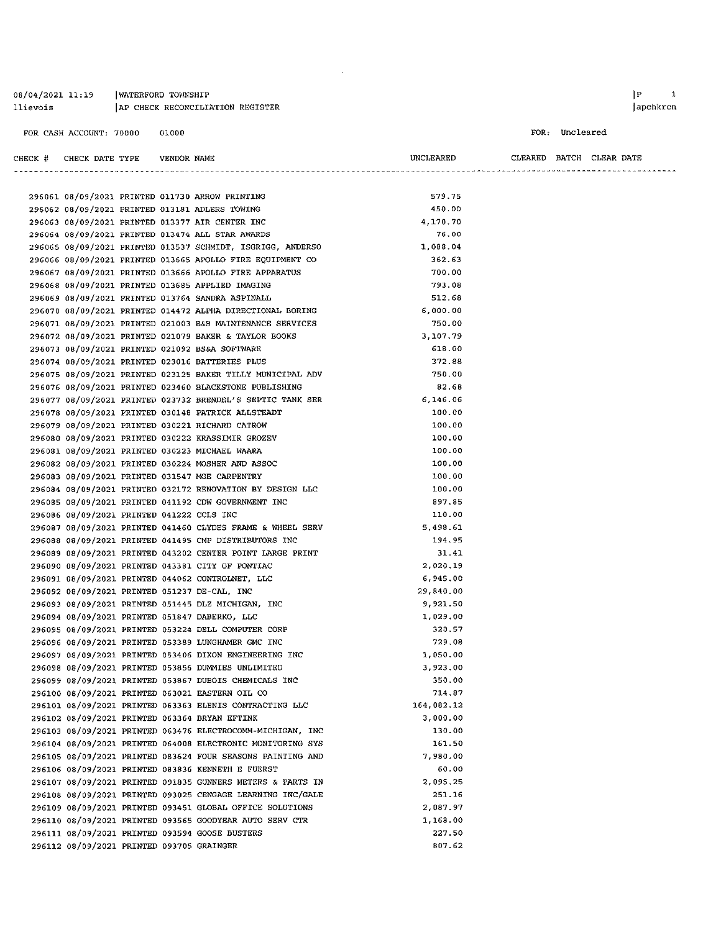WATERFORD TOWNSHIP 08/04/2021 11:19 llievois AP CHECK RECONCILIATION REGISTER

VENDOR NAME

CHECK # CHECK DATE TYPE

#### FOR: Uncleared

 $\begin{tabular}{lllll} \bf CLEARED & \bf BATCH & \bf CLEAR & \bf DATE \end{tabular}$ 

|                                           |  | 296061 08/09/2021 PRINTED 011730 ARROW PRINTING            | 579.75     |  |
|-------------------------------------------|--|------------------------------------------------------------|------------|--|
|                                           |  | 296062 08/09/2021 PRINTED 013181 ADLERS TOWING             | 450.00     |  |
|                                           |  | 296063 08/09/2021 PRINTED 013377 AIR CENTER INC            | 4,170.70   |  |
|                                           |  | 296064 08/09/2021 PRINTED 013474 ALL STAR AWARDS           | 76.00      |  |
|                                           |  | 296065 08/09/2021 PRINTED 013537 SCHMIDT, ISGRIGG, ANDERSO | 1,088.04   |  |
|                                           |  | 296066 08/09/2021 PRINTED 013665 APOLLO FIRE EQUIPMENT CO  | 362.63     |  |
|                                           |  | 296067 08/09/2021 PRINTED 013666 APOLLO FIRE APPARATUS     | 700.00     |  |
|                                           |  | 296068 08/09/2021 PRINTED 013685 APPLIED IMAGING           | 793.08     |  |
|                                           |  | 296069 08/09/2021 PRINTED 013764 SANDRA ASPINALL           | 512.68     |  |
|                                           |  | 296070 08/09/2021 PRINTED 014472 ALPHA DIRECTIONAL BORING  | 6,000.00   |  |
|                                           |  | 296071 08/09/2021 PRINTED 021003 B&B MAINTENANCE SERVICES  | 750.00     |  |
|                                           |  | 296072 08/09/2021 PRINTED 021079 BAKER & TAYLOR BOOKS      | 3,107.79   |  |
|                                           |  | 296073 08/09/2021 PRINTED 021092 BS&A SOFTWARE             | 618.00     |  |
|                                           |  | 296074 08/09/2021 PRINTED 023016 BATTERIES PLUS            | 372.88     |  |
|                                           |  | 296075 08/09/2021 PRINTED 023125 BAKER TILLY MUNICIPAL ADV | 750.00     |  |
|                                           |  | 296076 08/09/2021 PRINTED 023460 BLACKSTONE PUBLISHING     | 82.68      |  |
|                                           |  | 296077 08/09/2021 PRINTED 023732 BRENDEL'S SEPTIC TANK SER | 6,146.06   |  |
|                                           |  | 296078 08/09/2021 PRINTED 030148 PATRICK ALLSTEADT         | 100.00     |  |
|                                           |  | 296079 08/09/2021 PRINTED 030221 RICHARD CATROW            | 100.00     |  |
|                                           |  | 296080 08/09/2021 PRINTED 030222 KRASSIMIR GROZEV          | 100.00     |  |
|                                           |  | 296081 08/09/2021 PRINTED 030223 MICHAEL WAARA             | 100.00     |  |
|                                           |  | 296082 08/09/2021 PRINTED 030224 MOSHER AND ASSOC          | 100.00     |  |
|                                           |  | 296083 08/09/2021 PRINTED 031547 MGE CARPENTRY             | 100.00     |  |
|                                           |  | 296084 08/09/2021 PRINTED 032172 RENOVATION BY DESIGN LLC  | 100.00     |  |
|                                           |  | 296085 08/09/2021 PRINTED 041192 CDW GOVERNMENT INC        | 897.85     |  |
| 296086 08/09/2021 PRINTED 041222 CCLS INC |  |                                                            | 110.00     |  |
|                                           |  | 296087 08/09/2021 PRINTED 041460 CLYDES FRAME & WHEEL SERV | 5,498.61   |  |
|                                           |  | 296088 08/09/2021 PRINTED 041495 CMP DISTRIBUTORS INC      | 194.95     |  |
|                                           |  | 296089 08/09/2021 PRINTED 043202 CENTER POINT LARGE PRINT  | 31.41      |  |
|                                           |  | 296090 08/09/2021 PRINTED 043381 CITY OF PONTIAC           | 2,020.19   |  |
|                                           |  | 296091 08/09/2021 PRINTED 044062 CONTROLNET, LLC           | 6,945.00   |  |
|                                           |  | 296092 08/09/2021 PRINTED 051237 DE-CAL, INC               | 29,840.00  |  |
|                                           |  | 296093 08/09/2021 PRINTED 051445 DLZ MICHIGAN, INC         | 9,921.50   |  |
|                                           |  | 296094 08/09/2021 PRINTED 051847 DABERKO, LLC              | 1,029.00   |  |
|                                           |  | 296095 08/09/2021 PRINTED 053224 DELL COMPUTER CORP        | 320.57     |  |
|                                           |  | 296096 08/09/2021 PRINTED 053389 LUNGHAMER GMC INC         | 729.08     |  |
|                                           |  | 296097 08/09/2021 PRINTED 053406 DIXON ENGINEERING INC     | 1,050.00   |  |
|                                           |  | 296098 08/09/2021 PRINTED 053856 DUMMIES UNLIMITED         | 3,923.00   |  |
|                                           |  | 296099 08/09/2021 PRINTED 053867 DUBOIS CHEMICALS INC      | 350.00     |  |
|                                           |  | 296100 08/09/2021 PRINTED 063021 EASTERN OIL CO            | 714.87     |  |
|                                           |  | 296101 08/09/2021 PRINTED 063363 ELENIS CONTRACTING LLC    | 164,082.12 |  |
|                                           |  | 296102 08/09/2021 PRINTED 063364 BRYAN EFTINK              | 3,000.00   |  |
|                                           |  | 296103 08/09/2021 PRINTED 063476 ELECTROCOMM-MICHIGAN, INC | 130.00     |  |
|                                           |  | 296104 08/09/2021 PRINTED 064008 ELECTRONIC MONITORING SYS | 161.50     |  |
|                                           |  | 296105 08/09/2021 PRINTED 083624 FOUR SEASONS PAINTING AND | 7,980.00   |  |
|                                           |  | 296106 08/09/2021 PRINTED 083836 KENNETH E FUERST          | 60.00      |  |
|                                           |  | 296107 08/09/2021 PRINTED 091835 GUNNERS METERS & PARTS IN | 2,095.25   |  |
|                                           |  | 296108 08/09/2021 PRINTED 093025 CENGAGE LEARNING INC/GALE | 251.16     |  |
|                                           |  | 296109 08/09/2021 PRINTED 093451 GLOBAL OFFICE SOLUTIONS   | 2,087.97   |  |
|                                           |  | 296110 08/09/2021 PRINTED 093565 GOODYEAR AUTO SERV CTR    | 1,168.00   |  |
|                                           |  | 296111 08/09/2021 PRINTED 093594 GOOSE BUSTERS             | 227.50     |  |
| 296112 08/09/2021 PRINTED 093705 GRAINGER |  |                                                            | 807.62     |  |

 $\hat{\boldsymbol{\beta}}$ 

UNCLEARED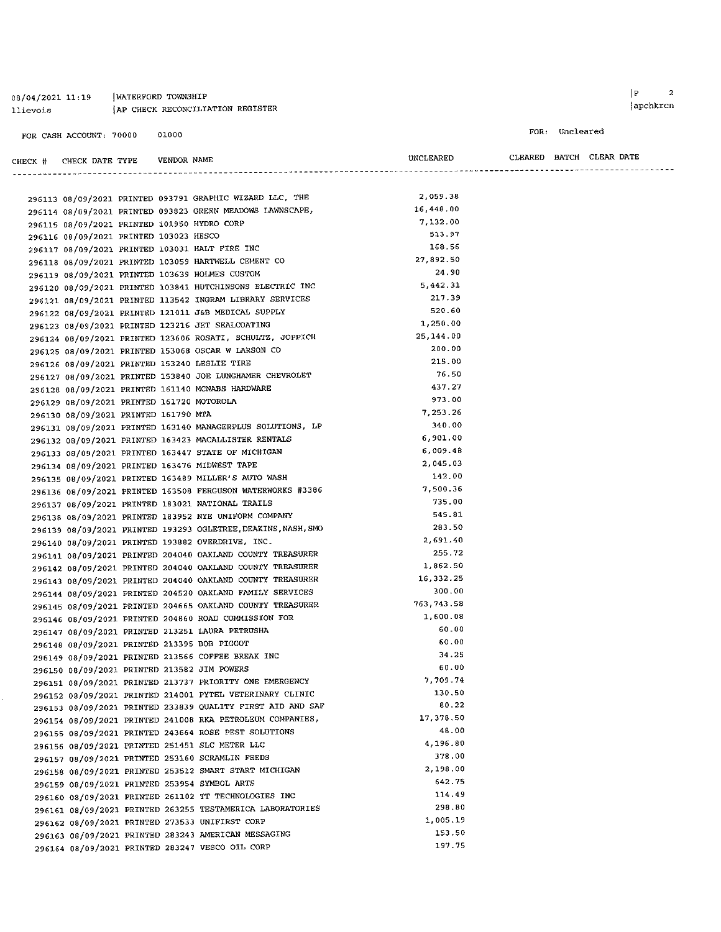#### 08/04/2021 11:19 | WATERFORD TOWNSHIP AP CHECK RECONCILIATION REGISTER llievois

#### FOR CASH ACCOUNT: 70000 01000

Į,

 $\begin{array}{ccc} \mid \texttt{P} & \texttt{2} \end{array}$ apchkrcn

#### FOR: Uncleared

CHECK  $#$  CHECK DATE TYPE VENDOR NAME 

| <b>UNCLEARE</b> |  |
|-----------------|--|
|                 |  |
|                 |  |
|                 |  |

 $\begin{minipage}{0.9\linewidth} \textbf{URARED} & \textbf{BATCH} & \textbf{CLEAR} & \textbf{DATE} \end{minipage}$ 

|                                             |  |                                                                                                               | 2,059.38   |
|---------------------------------------------|--|---------------------------------------------------------------------------------------------------------------|------------|
|                                             |  | 296113 08/09/2021 PRINTED 093791 GRAPHIC WIZARD LLC, THE                                                      | 16,448.00  |
|                                             |  | 296114 08/09/2021 PRINTED 093823 GREEN MEADOWS LAWNSCAPE,                                                     | 7,132.00   |
| 296115 08/09/2021 PRINTED 101950 HYDRO CORP |  |                                                                                                               | 513.97     |
| 296116 08/09/2021 PRINTED 103023 HESCO      |  |                                                                                                               | 168.56     |
|                                             |  | 296117 08/09/2021 PRINTED 103031 HALT FIRE INC                                                                | 27,892.50  |
|                                             |  | 296118 08/09/2021 PRINTED 103059 HARTWELL CEMENT CO                                                           | 24.90      |
|                                             |  | 296119 08/09/2021 PRINTED 103639 HOLMES CUSTOM                                                                | 5,442.31   |
|                                             |  | 296120 08/09/2021 PRINTED 103841 HUTCHINSONS ELECTRIC INC                                                     | 217.39     |
|                                             |  | 296121 08/09/2021 PRINTED 113542 INGRAM LIBRARY SERVICES                                                      | 520.60     |
|                                             |  | 296122 08/09/2021 PRINTED 121011 J&B MEDICAL SUPPLY                                                           | 1,250.00   |
|                                             |  | 296123 08/09/2021 PRINTED 123216 JET SEALCOATING                                                              | 25,144.00  |
|                                             |  | 296124 08/09/2021 PRINTED 123606 ROSATI, SCHULTZ, JOPPICH                                                     | 200.00     |
|                                             |  | 296125 08/09/2021 PRINTED 153068 OSCAR W LARSON CO                                                            | 215.00     |
|                                             |  | 296126 08/09/2021 PRINTED 153240 LESLIE TIRE                                                                  | 76.50      |
|                                             |  | 296127 08/09/2021 PRINTED 153840 JOE LUNGHAMER CHEVROLET                                                      | 437.27     |
|                                             |  | 296128 08/09/2021 PRINTED 161140 MCNABS HARDWARE                                                              | 973.00     |
| 296129 08/09/2021 PRINTED 161720 MOTOROLA   |  |                                                                                                               | 7,253.26   |
| 296130 08/09/2021 PRINTED 161790 MTA        |  |                                                                                                               | 340.00     |
|                                             |  | 296131 08/09/2021 PRINTED 163140 MANAGERPLUS SOLUTIONS, LP                                                    | 6,901.00   |
|                                             |  | 296132 08/09/2021 PRINTED 163423 MACALLISTER RENTALS                                                          | 6,009.48   |
|                                             |  | 296133 08/09/2021 PRINTED 163447 STATE OF MICHIGAN                                                            | 2,045.03   |
|                                             |  | 296134 08/09/2021 PRINTED 163476 MIDWEST TAPE<br>296135 08/09/2021 PRINTED 163489 MILLER'S AUTO WASH          | 142.00     |
|                                             |  | 296136 08/09/2021 PRINTED 163508 FERGUSON WATERWORKS #3386                                                    | 7,500.36   |
|                                             |  |                                                                                                               | 735.00     |
|                                             |  | 296137 08/09/2021 PRINTED 183021 NATIONAL TRAILS<br>296138 08/09/2021 PRINTED 183952 NYE UNIFORM COMPANY      | 545.81     |
|                                             |  | 296139 08/09/2021 PRINTED 193293 OGLETREE, DEAKINS, NASH, SMO                                                 | 283.50     |
|                                             |  |                                                                                                               | 2,691.40   |
|                                             |  | 296140 08/09/2021 PRINTED 193882 OVERDRIVE, INC.<br>296141 08/09/2021 PRINTED 204040 OAKLAND COUNTY TREASURER | 255.72     |
|                                             |  | 296142 08/09/2021 PRINTED 204040 OAKLAND COUNTY TREASURER                                                     | 1,862.50   |
|                                             |  | 296143 08/09/2021 PRINTED 204040 OAKLAND COUNTY TREASURER                                                     | 16,332.25  |
|                                             |  | 296144 08/09/2021 PRINTED 204520 OAKLAND FAMILY SERVICES                                                      | 300.00     |
|                                             |  | 296145 08/09/2021 PRINTED 204665 OAKLAND COUNTY TREASURER                                                     | 763,743.58 |
|                                             |  | 296146 08/09/2021 PRINTED 204860 ROAD COMMISSION FOR                                                          | 1,600.08   |
|                                             |  | 296147 08/09/2021 PRINTED 213251 LAURA PETRUSHA                                                               | 60.00      |
|                                             |  | 296148 08/09/2021 PRINTED 213395 BOB PIGGOT                                                                   | 60.00      |
|                                             |  | 296149 08/09/2021 PRINTED 213566 COFFEE BREAK INC                                                             | 34.25      |
|                                             |  | 296150 08/09/2021 PRINTED 213582 JIM POWERS                                                                   | 60.00      |
|                                             |  | 296151 08/09/2021 PRINTED 213737 PRIORITY ONE EMERGENCY                                                       | 7,709.74   |
|                                             |  | 296152 08/09/2021 PRINTED 214001 PYTEL VETERINARY CLINIC                                                      | 130.50     |
|                                             |  | 296153 08/09/2021 PRINTED 233839 QUALITY FIRST AID AND SAF                                                    | 80.22      |
|                                             |  | 296154 08/09/2021 PRINTED 241008 RKA PETROLEUM COMPANIES,                                                     | 17,378.50  |
|                                             |  | 296155 08/09/2021 PRINTED 243664 ROSE PEST SOLUTIONS                                                          | 48.00      |
|                                             |  | 296156 08/09/2021 PRINTED 251451 SLC METER LLC                                                                | 4.196.80   |
|                                             |  | 296157 08/09/2021 PRINTED 253160 SCRAMLIN FEEDS                                                               | 378.00     |
|                                             |  | 296158 08/09/2021 PRINTED 253512 SMART START MICHIGAN                                                         | 2,198.00   |
|                                             |  | 296159 08/09/2021 PRINTED 253954 SYMBOL ARTS                                                                  | 642.75     |
|                                             |  | 296160 08/09/2021 PRINTED 261102 TT TECHNOLOGIES INC                                                          | 114.49     |
|                                             |  | 296161 08/09/2021 PRINTED 263255 TESTAMERICA LABORATORIES                                                     | 298.80     |
|                                             |  | 296162 08/09/2021 PRINTED 273533 UNIFIRST CORP                                                                | 1,005.19   |
|                                             |  | 296163 08/09/2021 PRINTED 283243 AMERICAN MESSAGING                                                           | 153.50     |
|                                             |  | 296164 08/09/2021 PRINTED 283247 VESCO OIL CORP                                                               | 197.75     |
|                                             |  |                                                                                                               |            |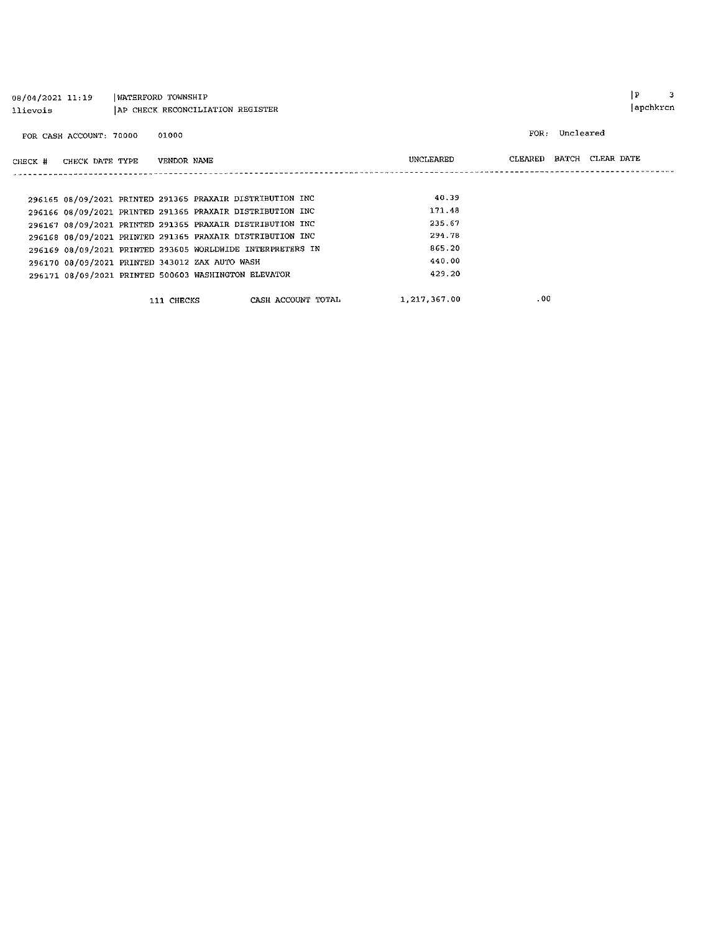| 08/04/2021 11:19<br>llievois                               | WATERFORD TOWNSHIP | AP CHECK RECONCILIATION REGISTER |                    |  |              |                          |           | p | 3<br> apchkrcn |
|------------------------------------------------------------|--------------------|----------------------------------|--------------------|--|--------------|--------------------------|-----------|---|----------------|
| FOR CASH ACCOUNT: 70000                                    | 01000              |                                  |                    |  |              | FOR :                    | Uncleared |   |                |
| CHECK DATE TYPE<br>CHECK #                                 |                    | VENDOR NAME                      |                    |  | UNCLEARED    | CLEARED BATCH CLEAR DATE |           |   |                |
|                                                            |                    |                                  |                    |  |              |                          |           |   |                |
| 296165 08/09/2021 PRINTED 291365 PRAXAIR DISTRIBUTION INC  |                    |                                  |                    |  | 40.39        |                          |           |   |                |
| 296166 08/09/2021 PRINTED 291365 PRAXAIR DISTRIBUTION INC  |                    |                                  |                    |  | 171.48       |                          |           |   |                |
| 296167 08/09/2021 PRINTED 291365 PRAXAIR DISTRIBUTION INC  |                    |                                  |                    |  | 235.67       |                          |           |   |                |
| 296168 08/09/2021 PRINTED 291365 PRAXAIR DISTRIBUTION INC  |                    |                                  |                    |  | 294.78       |                          |           |   |                |
| 296169 08/09/2021 PRINTED 293605 WORLDWIDE INTERPRETERS IN |                    |                                  |                    |  | 865.20       |                          |           |   |                |
| 296170 08/09/2021 PRINTED 343012 ZAX AUTO WASH             |                    |                                  |                    |  | 440.00       |                          |           |   |                |
| 296171 08/09/2021 PRINTED 500603 WASHINGTON ELEVATOR       |                    |                                  |                    |  | 429.20       |                          |           |   |                |
|                                                            |                    | 111 CHECKS                       | CASH ACCOUNT TOTAL |  | 1,217,367.00 | .00                      |           |   |                |

 $\begin{array}{ccc} \mid \mathbf{P} & \mid & 3 \\ \end{array}$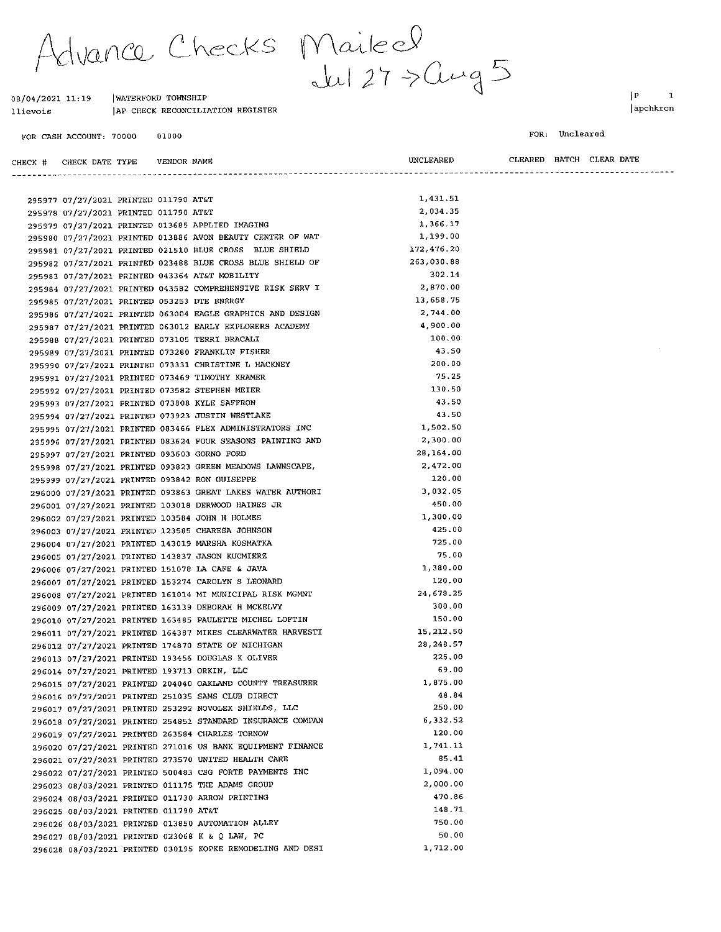Advance Checks Mailed<br>1/2021 11:19 IWATERFORD TOWNSHIP

UNCLEARED

#### 08/04/2021 11:19 | WATERFORD TOWNSHIP AP CHECK RECONCILIATION REGISTER llievois

VENDOR NAME

01000 FOR CASH ACCOUNT: 70000

CHECK # CHECK DATE TYPE

 $|P|$  $\mathbf 1$ apchkrcn

 $\ddotsc$ 

FOR: Uncleared

CLEARED BATCH CLEAR DATE

| 295977 07/27/2021 PRINTED 011790 AT&T                      | 1,431.51   |  |
|------------------------------------------------------------|------------|--|
| 295978 07/27/2021 PRINTED 011790 AT&T                      | 2,034.35   |  |
| 295979 07/27/2021 PRINTED 013685 APPLIED IMAGING           | 1,366.17   |  |
| 295980 07/27/2021 PRINTED 013886 AVON BEAUTY CENTER OF WAT | 1,199.00   |  |
| 295981 07/27/2021 PRINTED 021510 BLUE CROSS BLUE SHIELD    | 172,476.20 |  |
| 295982 07/27/2021 PRINTED 023488 BLUE CROSS BLUE SHIELD OF | 263,030.88 |  |
| 295983 07/27/2021 PRINTED 043364 AT&T MOBILITY             | 302.14     |  |
| 295984 07/27/2021 PRINTED 043582 COMPREHENSIVE RISK SERV I | 2,870.00   |  |
| 295985 07/27/2021 PRINTED 053253 DTE ENERGY                | 13,658.75  |  |
| 295986 07/27/2021 PRINTED 063004 EAGLE GRAPHICS AND DESIGN | 2,744.00   |  |
| 295987 07/27/2021 PRINTED 063012 EARLY EXPLORERS ACADEMY   | 4,900.00   |  |
| 295988 07/27/2021 PRINTED 073105 TERRI BRACALI             | 100.00     |  |
| 295989 07/27/2021 PRINTED 073280 FRANKLIN FISHER           | 43.50      |  |
| 295990 07/27/2021 PRINTED 073331 CHRISTINE L HACKNEY       | 200.00     |  |
| 295991 07/27/2021 PRINTED 073469 TIMOTHY KRAMER            | 75.25      |  |
| 295992 07/27/2021 PRINTED 073582 STEPHEN MEIER             | 130.50     |  |
| 295993 07/27/2021 PRINTED 073808 KYLE SAFFRON              | 43.50      |  |
| 295994 07/27/2021 PRINTED 073923 JUSTIN WESTLAKE           | 43.50      |  |
| 295995 07/27/2021 PRINTED 083466 FLEX ADMINISTRATORS INC   | 1,502.50   |  |
| 295996 07/27/2021 PRINTED 083624 FOUR SEASONS PAINTING AND | 2,300.00   |  |
| 295997 07/27/2021 PRINTED 093603 GORNO FORD                | 28,164.00  |  |
| 295998 07/27/2021 PRINTED 093823 GREEN MEADOWS LAWNSCAPE,  | 2,472.00   |  |
| 295999 07/27/2021 PRINTED 093842 RON GUISEPPE              | 120.00     |  |
| 296000 07/27/2021 PRINTED 093863 GREAT LAKES WATER AUTHORI | 3,032.05   |  |
| 296001 07/27/2021 PRINTED 103018 DERWOOD HAINES JR         | 450.00     |  |
| 296002 07/27/2021 PRINTED 103584 JOHN H HOLMES             | 1,300.00   |  |
| 296003 07/27/2021 PRINTED 123585 CHARESA JOHNSON           | 425.00     |  |
| 296004 07/27/2021 PRINTED 143019 MARSHA KOSMATKA           | 725.00     |  |
| 296005 07/27/2021 PRINTED 143837 JASON KUCMIERZ            | 75.00      |  |
| 296006 07/27/2021 PRINTED 151078 LA CAFE & JAVA            | 1,380.00   |  |
| 296007 07/27/2021 PRINTED 153274 CAROLYN S LEONARD         | 120.00     |  |
| 296008 07/27/2021 PRINTED 161014 MI MUNICIPAL RISK MGMNT   | 24, 678.25 |  |
| 296009 07/27/2021 PRINTED 163139 DEBORAH H MCKELVY         | 300.00     |  |
| 296010 07/27/2021 PRINTED 163485 PAULETTE MICHEL LOFTIN    | 150.00     |  |
| 296011 07/27/2021 PRINTED 164387 MIKES CLEARWATER HARVESTI | 15,212.50  |  |
| 296012 07/27/2021 PRINTED 174870 STATE OF MICHIGAN         | 28,248.57  |  |
| 296013 07/27/2021 PRINTED 193456 DOUGLAS K OLIVER          | 225.00     |  |
| 296014 07/27/2021 PRINTED 193713 ORKIN, LLC                | 69.00      |  |
| 296015 07/27/2021 PRINTED 204040 OAKLAND COUNTY TREASURER  | 1,875.00   |  |
| 296016 07/27/2021 PRINTED 251035 SAMS CLUB DIRECT          | 48.84      |  |
| 296017 07/27/2021 PRINTED 253292 NOVOLEX SHIELDS, LLC      | 250.00     |  |
| 296018 07/27/2021 PRINTED 254851 STANDARD INSURANCE COMPAN | 6,332.52   |  |
| 296019 07/27/2021 PRINTED 263584 CHARLES TORNOW            | 120.00     |  |
| 296020 07/27/2021 PRINTED 271016 US BANK EQUIPMENT FINANCE | 1,741.11   |  |
| 296021 07/27/2021 PRINTED 273570 UNITED HEALTH CARE        | 85.41      |  |
| 296022 07/27/2021 PRINTED 500483 CSG FORTE PAYMENTS INC    | 1,094.00   |  |
| 296023 08/03/2021 PRINTED 011175 THE ADAMS GROUP           | 2,000.00   |  |
| 296024 08/03/2021 PRINTED 011730 ARROW PRINTING            | 470.86     |  |
| 296025 08/03/2021 PRINTED 011790 AT&T                      | 148.71     |  |
| 296026 08/03/2021 PRINTED 013850 AUTOMATION ALLEY          | 750.00     |  |
| 296027 08/03/2021 PRINTED 023068 K & Q LAW, PC             | 50.00      |  |
| 296028 08/03/2021 PRINTED 030195 KOPKE REMODELING AND DESI | 1,712.00   |  |